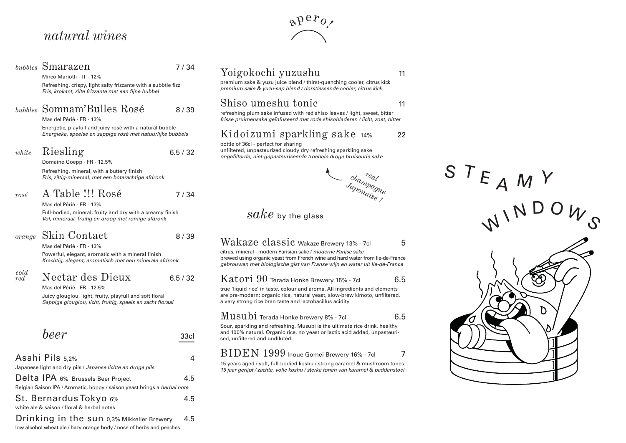## *natural wines*

|                    | bubbles Smarazen<br>Mirco Mariotti - IT - 12%<br>Refreshing, crispy, light salty frizzante with a subbtle fizz<br>Fris, krokant, zilte frizzante met een fijne bubbel  | 7/34     | Yoigokochi yuzushu<br>premium sake & yuzu juice blend / thirst-quenching cooler, citrus kick<br>premium sake & yuzu-sap blend / dorstlessende cooler, citrus kick                                                                                                      | 11  |
|--------------------|------------------------------------------------------------------------------------------------------------------------------------------------------------------------|----------|------------------------------------------------------------------------------------------------------------------------------------------------------------------------------------------------------------------------------------------------------------------------|-----|
|                    | bubbles Somnam'Bulles Rosé<br>Mas del Périé - FR - 13%                                                                                                                 | 8/39     | Shiso umeshu tonic<br>refreshing plum sake infused with red shiso leaves / light, sweet, bitter<br>frisse pruimensake geïnfuseerd met rode shisobladeren / licht, zoet, bitter                                                                                         | 11  |
|                    | Energetic, playfull and juicy rosé with a natural bubble<br>Energieke, speelse en sappige rosé met natuurlijke bubbels                                                 |          | Kidoizumi sparkling sake 14%                                                                                                                                                                                                                                           | 22  |
| white              | Riesling<br>Domaine Goepp - FR - 12,5%                                                                                                                                 | 6.5 / 32 | bottle of 36cl - perfect for sharing<br>unfiltered, unpasteurized cloudy dry refreshing sparkling sake<br>ongefilterde, niet-gepasteuriseerde troebele droge bruisende sake                                                                                            |     |
|                    | Refreshing, mineral, with a buttery finish<br>Fris, ziltig-mineraal, met een boterachtige afdronk                                                                      |          |                                                                                                                                                                                                                                                                        |     |
| rosé               | A Table !!! Rosé                                                                                                                                                       | 7/34     | champagne<br>Saponaise                                                                                                                                                                                                                                                 |     |
|                    | Mas del Périé - FR - 13%<br>Full-bodied, mineral, fruity and dry with a creamy finish<br>Vol, mineraal, fruitig en droog met romige afdronk                            |          | $\emph{sake}$ by the glass                                                                                                                                                                                                                                             |     |
| orange             | Skin Contact<br>Mas del Périé - FR - 13%<br>Powerful, elegant, aromatic with a mineral finish<br>Krachtig, elegant, aromatisch met een minerale afdronk                | 8/39     | Wakaze classic Wakaze Brewery 13% - 7cl<br>citrus, mineral - modern Parisian sake / moderne Parijse sake<br>brewed using organic yeast from French wine and hard water from Ile-de-France<br>gebrouwen met biologische gist van Franse wijn en water uit Ile-de-France | 5   |
| $\frac{cold}{red}$ | Nectar des Dieux<br>Mas del Périé - FR - 12,5%<br>Juicy glouglou, light, fruity, playfull and soft floral<br>Sappige glouglou, licht, fruitig, speels en zacht floraal | 6.5/32   | Katori 90 Terada Honke Brewery 15% - 7cl<br>true 'liquid rice' in taste, colour and aroma. All ingredients and elements<br>are pre-modern: organic rice, natural yeast, slow-brew kimoto, unfiltered.<br>a very strong rice bran taste and lactobacillus acidity       | 6.5 |
|                    | beer                                                                                                                                                                   | 33cl     | Musubi Terada Honke brewery 8% - 7cl<br>Sour, sparkling and refreshing. Musubi is the ultimate rice drink, healthy<br>and 100% natural. Organic rice, no yeast or lactic acid added, unpasteuri-<br>sed, unfiltered and undiluted.                                     | 6.5 |

#### Asahi Pils 5,2% 4 Japanese light and dry pils / *Japanse lichte en droge pils* Delta IPA 6% Brussels Beer Project 4.5 Belgian Saison IPA / Aromatic, hoppy / saison yeast brings a *herbal note*  St. Bernardus Tokyo 6% a.5 white ale & saison / floral & herbal notes

Drinking in the sun 0,3% Mikkeller Brewery 4.5 low alcohol wheat ale / hazy orange body / nose of herbs and peaches

 $\alpha P^{\alpha}$ 

## $sake$  14% 22



### ewery 13% - 7cl  $\,$  5

#### $\epsilon$ ry 15% - 7cl 6.5

#### ${\rm \ M}$ U ${\rm \ S}$ l ${\rm \ M}$  Terada Honke brewery 8% - 7cl  $\hskip 1.6cm$  6.5

### $BIDEN 1999$  Inoue Gomei Brewery 16% - 7cl  $7$

15 years aged / soft, full-bodied koshu / strong caramel & mushroom tones *15 jaar gerijpt / zachte, volle koshu / sterke tonen van karamel & paddenstoel*